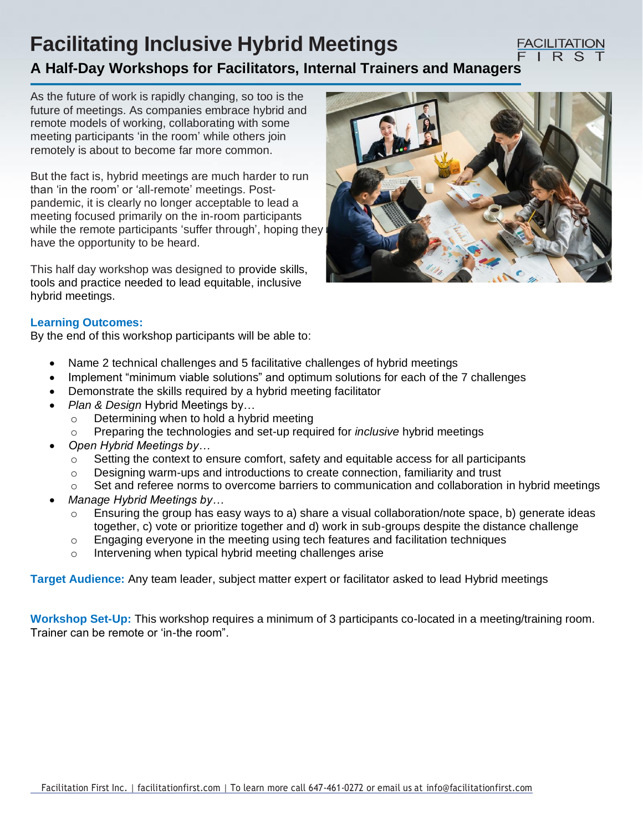# **Facilitating Inclusive Hybrid Meetings**

#### **FACILITATION** IRS

## **A Half-Day Workshops for Facilitators, Internal Trainers and Managers**

As the future of work is rapidly changing, so too is the future of meetings. As companies embrace hybrid and remote models of working, collaborating with some meeting participants 'in the room' while others join remotely is about to become far more common.

But the fact is, hybrid meetings are much harder to run than 'in the room' or 'all-remote' meetings. Postpandemic, it is clearly no longer acceptable to lead a meeting focused primarily on the in-room participants while the remote participants 'suffer through', hoping they have the opportunity to be heard.

This half day workshop was designed to provide skills, tools and practice needed to lead equitable, inclusive hybrid meetings.



### **Learning Outcomes:**

By the end of this workshop participants will be able to:

- Name 2 technical challenges and 5 facilitative challenges of hybrid meetings
- Implement "minimum viable solutions" and optimum solutions for each of the 7 challenges
- Demonstrate the skills required by a hybrid meeting facilitator
- *Plan & Design* Hybrid Meetings by…
	- o Determining when to hold a hybrid meeting
	- o Preparing the technologies and set-up required for *inclusive* hybrid meetings
- *Open Hybrid Meetings by…*
	- $\circ$  Setting the context to ensure comfort, safety and equitable access for all participants
	- o Designing warm-ups and introductions to create connection, familiarity and trust
	- Set and referee norms to overcome barriers to communication and collaboration in hybrid meetings
- *Manage Hybrid Meetings by…*
	- $\circ$  Ensuring the group has easy ways to a) share a visual collaboration/note space, b) generate ideas together, c) vote or prioritize together and d) work in sub-groups despite the distance challenge
	- $\circ$  Engaging everyone in the meeting using tech features and facilitation techniques
	- o Intervening when typical hybrid meeting challenges arise

**Target Audience:** Any team leader, subject matter expert or facilitator asked to lead Hybrid meetings

**Workshop Set-Up:** This workshop requires a minimum of 3 participants co-located in a meeting/training room. Trainer can be remote or 'in-the room".